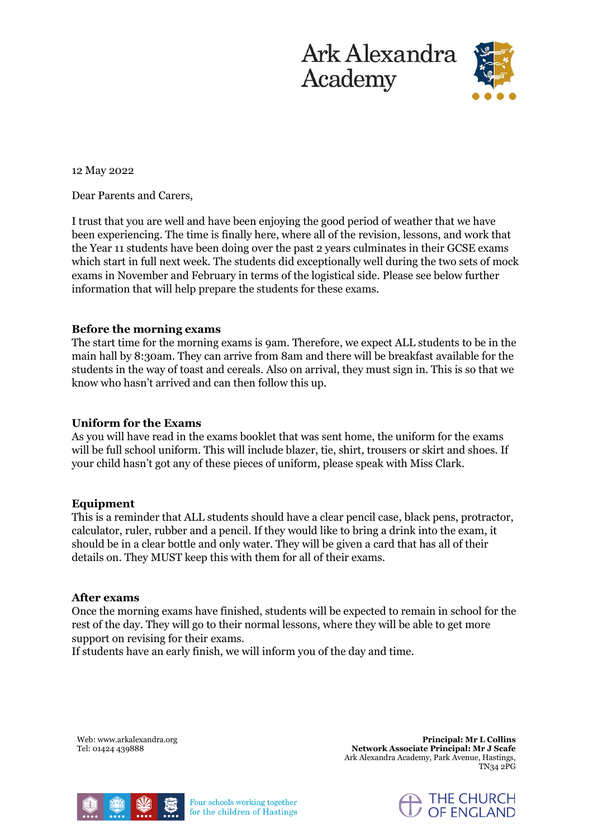

## 12 May 2022

Dear Parents and Carers,

I trust that you are well and have been enjoying the good period of weather that we have been experiencing. The time is finally here, where all of the revision, lessons, and work that the Year 11 students have been doing over the past 2 years culminates in their GCSE exams which start in full next week. The students did exceptionally well during the two sets of mock exams in November and February in terms of the logistical side. Please see below further information that will help prepare the students for these exams.

# **Before the morning exams**

The start time for the morning exams is 9am. Therefore, we expect ALL students to be in the main hall by 8:30am. They can arrive from 8am and there will be breakfast available for the students in the way of toast and cereals. Also on arrival, they must sign in. This is so that we know who hasn't arrived and can then follow this up.

## **Uniform for the Exams**

As you will have read in the exams booklet that was sent home, the uniform for the exams will be full school uniform. This will include blazer, tie, shirt, trousers or skirt and shoes. If your child hasn't got any of these pieces of uniform, please speak with Miss Clark.

#### **Equipment**

This is a reminder that ALL students should have a clear pencil case, black pens, protractor, calculator, ruler, rubber and a pencil. If they would like to bring a drink into the exam, it should be in a clear bottle and only water. They will be given a card that has all of their details on. They MUST keep this with them for all of their exams.

#### **After exams**

Once the morning exams have finished, students will be expected to remain in school for the rest of the day. They will go to their normal lessons, where they will be able to get more support on revising for their exams.

If students have an early finish, we will inform you of the day and time.

Web: www.arkalexandra.org Tel: 01424 439888

**Principal: Mr L Collins Network Associate Principal: Mr J Scafe**  Ark Alexandra Academy, Park Avenue, Hastings, TN34 2PG



Four schools working together for the children of Hastings